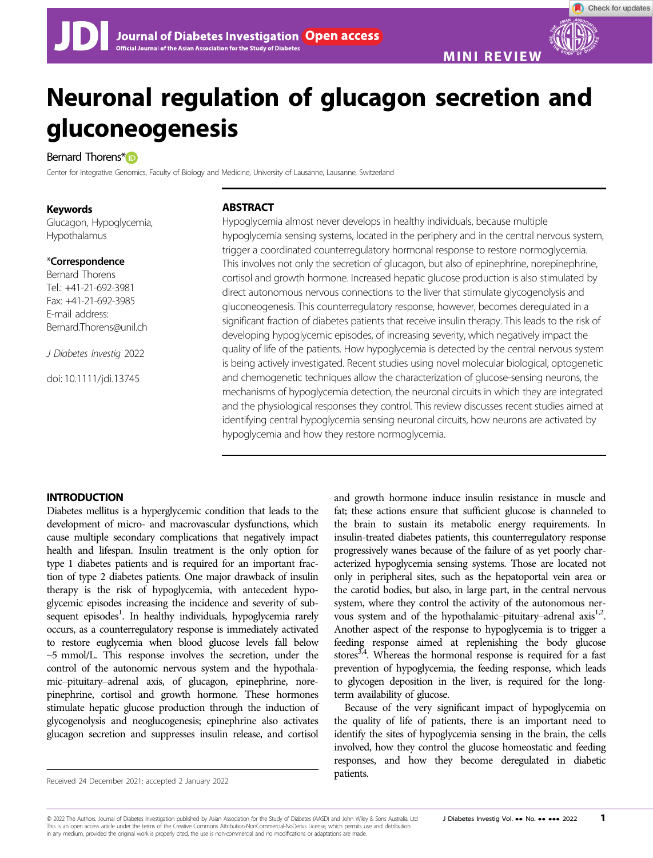MINI REVIEW

# Neuronal regulation of glucagon secretion and gluconeogenesis

# Bernard Thorens[\\*](https://orcid.org/0000-0002-3738-0129)<sub>D</sub>

Center for Integrative Genomics, Faculty of Biology and Medicine, University of Lausanne, Lausanne, Switzerland

## Keywords

Glucagon, Hypoglycemia, Hypothalamus

## \*Correspondence

Bernard Thorens Tel.: +41-21-692-3981 Fax: +41-21-692-3985 E-mail address: [Bernard.Thorens@unil.ch](mailto:)

J Diabetes Investig 2022

doi: 10.1111/jdi.13745

# ABSTRACT

Hypoglycemia almost never develops in healthy individuals, because multiple hypoglycemia sensing systems, located in the periphery and in the central nervous system, trigger a coordinated counterregulatory hormonal response to restore normoglycemia. This involves not only the secretion of glucagon, but also of epinephrine, norepinephrine, cortisol and growth hormone. Increased hepatic glucose production is also stimulated by direct autonomous nervous connections to the liver that stimulate glycogenolysis and gluconeogenesis. This counterregulatory response, however, becomes deregulated in a significant fraction of diabetes patients that receive insulin therapy. This leads to the risk of developing hypoglycemic episodes, of increasing severity, which negatively impact the quality of life of the patients. How hypoglycemia is detected by the central nervous system is being actively investigated. Recent studies using novel molecular biological, optogenetic and chemogenetic techniques allow the characterization of glucose-sensing neurons, the mechanisms of hypoglycemia detection, the neuronal circuits in which they are integrated and the physiological responses they control. This review discusses recent studies aimed at identifying central hypoglycemia sensing neuronal circuits, how neurons are activated by hypoglycemia and how they restore normoglycemia.

# INTRODUCTION

Diabetes mellitus is a hyperglycemic condition that leads to the development of micro- and macrovascular dysfunctions, which cause multiple secondary complications that negatively impact health and lifespan. Insulin treatment is the only option for type 1 diabetes patients and is required for an important fraction of type 2 diabetes patients. One major drawback of insulin therapy is the risk of hypoglycemia, with antecedent hypoglycemic episodes increasing the incidence and severity of subsequent episodes<sup>1</sup>. In healthy individuals, hypoglycemia rarely occurs, as a counterregulatory response is immediately activated to restore euglycemia when blood glucose levels fall below ~5 mmol/L. This response involves the secretion, under the control of the autonomic nervous system and the hypothalamic–pituitary–adrenal axis, of glucagon, epinephrine, norepinephrine, cortisol and growth hormone. These hormones stimulate hepatic glucose production through the induction of glycogenolysis and neoglucogenesis; epinephrine also activates glucagon secretion and suppresses insulin release, and cortisol

and growth hormone induce insulin resistance in muscle and fat; these actions ensure that sufficient glucose is channeled to the brain to sustain its metabolic energy requirements. In insulin-treated diabetes patients, this counterregulatory response progressively wanes because of the failure of as yet poorly characterized hypoglycemia sensing systems. Those are located not only in peripheral sites, such as the hepatoportal vein area or the carotid bodies, but also, in large part, in the central nervous system, where they control the activity of the autonomous nervous system and of the hypothalamic–pituitary–adrenal axis<sup>1,2</sup>. Another aspect of the response to hypoglycemia is to trigger a feeding response aimed at replenishing the body glucose stores<sup>3,4</sup>. Whereas the hormonal response is required for a fast prevention of hypoglycemia, the feeding response, which leads to glycogen deposition in the liver, is required for the longterm availability of glucose.

Because of the very significant impact of hypoglycemia on the quality of life of patients, there is an important need to identify the sites of hypoglycemia sensing in the brain, the cells involved, how they control the glucose homeostatic and feeding responses, and how they become deregulated in diabetic

© 2022 The Authors. Journal of Diabetes Investigation published by Asian Association for the Study of Diabetes (AASD) and John Wiley & Sons Australia. Ltd J Diabetes Investig Vol. .. No. ... 2022 1 This is an open access article under the terms of the [Creative Commons Attribution-NonCommercial-NoDerivs](http://creativecommons.org/licenses/by-nc-nd/4.0/) License, which permits use and distribution in any medium, provided the original work is properly cited, the use is non-commercial and no modifications or adaptations are made.

Patients.<br>Received 24 December 2021; accepted 2 January 2022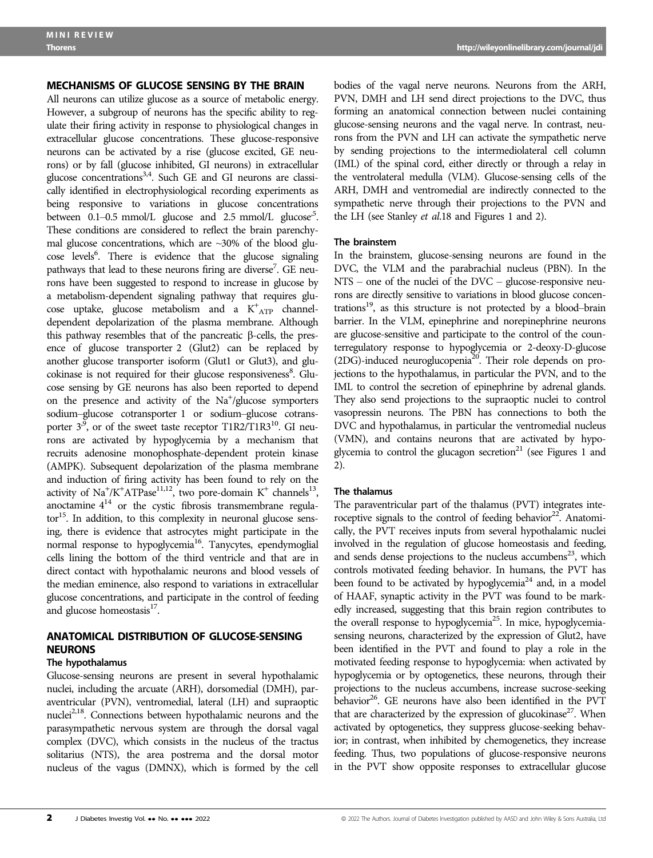#### MECHANISMS OF GLUCOSE SENSING BY THE BRAIN

All neurons can utilize glucose as a source of metabolic energy. However, a subgroup of neurons has the specific ability to regulate their firing activity in response to physiological changes in extracellular glucose concentrations. These glucose-responsive neurons can be activated by a rise (glucose excited, GE neurons) or by fall (glucose inhibited, GI neurons) in extracellular glucose concentrations<sup>3,4</sup>. Such GE and GI neurons are classically identified in electrophysiological recording experiments as being responsive to variations in glucose concentrations between 0.1–0.5 mmol/L glucose and 2.5 mmol/L glucose<sup>5</sup>. These conditions are considered to reflect the brain parenchymal glucose concentrations, which are  $\sim$ 30% of the blood glucose levels<sup>6</sup>. There is evidence that the glucose signaling pathways that lead to these neurons firing are diverse<sup>7</sup>. GE neurons have been suggested to respond to increase in glucose by a metabolism-dependent signaling pathway that requires glucose uptake, glucose metabolism and a K<sup>+</sup> ATP channeldependent depolarization of the plasma membrane. Although this pathway resembles that of the pancreatic  $\beta$ -cells, the presence of glucose transporter 2 (Glut2) can be replaced by another glucose transporter isoform (Glut1 or Glut3), and glucokinase is not required for their glucose responsiveness<sup>8</sup>. Glucose sensing by GE neurons has also been reported to depend on the presence and activity of the Na<sup>+</sup>/glucose symporters sodium–glucose cotransporter 1 or sodium–glucose cotransporter  $3^9$ , or of the sweet taste receptor T1R2/T1R3<sup>10</sup>. GI neurons are activated by hypoglycemia by a mechanism that recruits adenosine monophosphate-dependent protein kinase (AMPK). Subsequent depolarization of the plasma membrane and induction of firing activity has been found to rely on the activity of  $\text{Na}^+/\text{K}^+ \text{ATPase}^{11,12}$ , two pore-domain  $\text{K}^+$  channels<sup>13</sup>, anoctamine  $4^{14}$  or the cystic fibrosis transmembrane regula- $\text{tor}^{15}$ . In addition, to this complexity in neuronal glucose sensing, there is evidence that astrocytes might participate in the normal response to hypoglycemia<sup>16</sup>. Tanycytes, ependymoglial cells lining the bottom of the third ventricle and that are in direct contact with hypothalamic neurons and blood vessels of the median eminence, also respond to variations in extracellular glucose concentrations, and participate in the control of feeding and glucose homeostasis<sup>17</sup>.

# ANATOMICAL DISTRIBUTION OF GLUCOSE-SENSING NEURONS

#### The hypothalamus

Glucose-sensing neurons are present in several hypothalamic nuclei, including the arcuate (ARH), dorsomedial (DMH), paraventricular (PVN), ventromedial, lateral (LH) and supraoptic nuclei<sup>2,18</sup>. Connections between hypothalamic neurons and the parasympathetic nervous system are through the dorsal vagal complex (DVC), which consists in the nucleus of the tractus solitarius (NTS), the area postrema and the dorsal motor nucleus of the vagus (DMNX), which is formed by the cell bodies of the vagal nerve neurons. Neurons from the ARH, PVN, DMH and LH send direct projections to the DVC, thus forming an anatomical connection between nuclei containing glucose-sensing neurons and the vagal nerve. In contrast, neurons from the PVN and LH can activate the sympathetic nerve by sending projections to the intermediolateral cell column (IML) of the spinal cord, either directly or through a relay in the ventrolateral medulla (VLM). Glucose-sensing cells of the ARH, DMH and ventromedial are indirectly connected to the sympathetic nerve through their projections to the PVN and the LH (see Stanley et al.18 and Figures 1 and 2).

#### The brainstem

In the brainstem, glucose-sensing neurons are found in the DVC, the VLM and the parabrachial nucleus (PBN). In the NTS – one of the nuclei of the DVC – glucose-responsive neurons are directly sensitive to variations in blood glucose concentrations $19$ , as this structure is not protected by a blood–brain barrier. In the VLM, epinephrine and norepinephrine neurons are glucose-sensitive and participate to the control of the counterregulatory response to hypoglycemia or 2-deoxy-D-glucose  $(2DG)$ -induced neuroglucopenia<sup>20</sup>. Their role depends on projections to the hypothalamus, in particular the PVN, and to the IML to control the secretion of epinephrine by adrenal glands. They also send projections to the supraoptic nuclei to control vasopressin neurons. The PBN has connections to both the DVC and hypothalamus, in particular the ventromedial nucleus (VMN), and contains neurons that are activated by hypoglycemia to control the glucagon secretion $^{21}$  (see Figures 1 and 2).

#### The thalamus

The paraventricular part of the thalamus (PVT) integrates interoceptive signals to the control of feeding behavior<sup>22</sup>. Anatomically, the PVT receives inputs from several hypothalamic nuclei involved in the regulation of glucose homeostasis and feeding, and sends dense projections to the nucleus accumbens $^{23}$ , which controls motivated feeding behavior. In humans, the PVT has been found to be activated by hypoglycemia<sup>24</sup> and, in a model of HAAF, synaptic activity in the PVT was found to be markedly increased, suggesting that this brain region contributes to the overall response to hypoglycemia<sup>25</sup>. In mice, hypoglycemiasensing neurons, characterized by the expression of Glut2, have been identified in the PVT and found to play a role in the motivated feeding response to hypoglycemia: when activated by hypoglycemia or by optogenetics, these neurons, through their projections to the nucleus accumbens, increase sucrose-seeking behavior<sup>26</sup>. GE neurons have also been identified in the PVT that are characterized by the expression of glucokinase<sup>27</sup>. When activated by optogenetics, they suppress glucose-seeking behavior; in contrast, when inhibited by chemogenetics, they increase feeding. Thus, two populations of glucose-responsive neurons in the PVT show opposite responses to extracellular glucose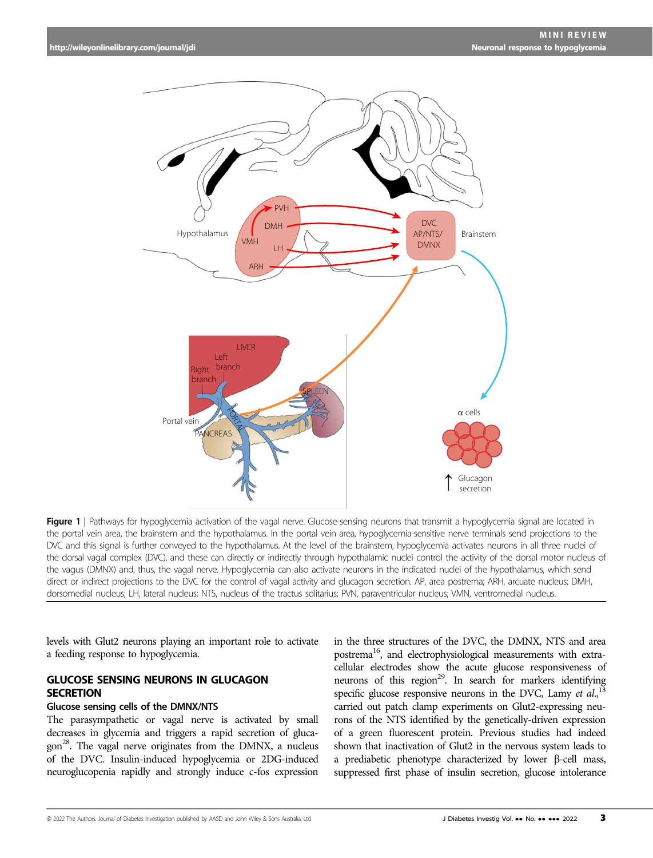

Figure 1 | Pathways for hypoglycemia activation of the vagal nerve. Glucose-sensing neurons that transmit a hypoglycemia signal are located in the portal vein area, the brainstem and the hypothalamus. In the portal vein area, hypoglycemia-sensitive nerve terminals send projections to the DVC and this signal is further conveyed to the hypothalamus. At the level of the brainstem, hypoglycemia activates neurons in all three nuclei of the dorsal vagal complex (DVC), and these can directly or indirectly through hypothalamic nuclei control the activity of the dorsal motor nucleus of the vagus (DMNX) and, thus, the vagal nerve. Hypoglycemia can also activate neurons in the indicated nuclei of the hypothalamus, which send direct or indirect projections to the DVC for the control of vagal activity and glucagon secretion. AP, area postrema; ARH, arcuate nucleus; DMH, dorsomedial nucleus; LH, lateral nucleus; NTS, nucleus of the tractus solitarius; PVN, paraventricular nucleus; VMN, ventromedial nucleus.

levels with Glut2 neurons playing an important role to activate a feeding response to hypoglycemia.

# GLUCOSE SENSING NEURONS IN GLUCAGON **SECRETION**

# Glucose sensing cells of the DMNX/NTS

The parasympathetic or vagal nerve is activated by small decreases in glycemia and triggers a rapid secretion of gluca- $\gamma^{28}$ . The vagal nerve originates from the DMNX, a nucleus of the DVC. Insulin-induced hypoglycemia or 2DG-induced neuroglucopenia rapidly and strongly induce c-fos expression

in the three structures of the DVC, the DMNX, NTS and area postrema<sup>16</sup>, and electrophysiological measurements with extracellular electrodes show the acute glucose responsiveness of neurons of this region<sup>29</sup>. In search for markers identifying specific glucose responsive neurons in the DVC, Lamy et  $al$ ,  $l^3$ carried out patch clamp experiments on Glut2-expressing neurons of the NTS identified by the genetically-driven expression of a green fluorescent protein. Previous studies had indeed shown that inactivation of Glut2 in the nervous system leads to a prediabetic phenotype characterized by lower  $\beta$ -cell mass, suppressed first phase of insulin secretion, glucose intolerance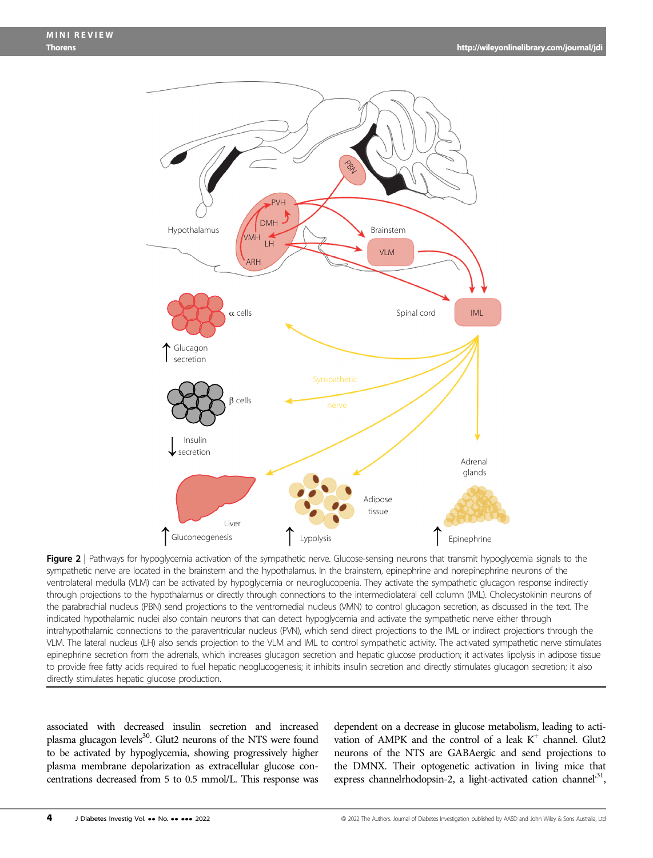

Figure 2 | Pathways for hypoglycemia activation of the sympathetic nerve. Glucose-sensing neurons that transmit hypoglycemia signals to the sympathetic nerve are located in the brainstem and the hypothalamus. In the brainstem, epinephrine and norepinephrine neurons of the ventrolateral medulla (VLM) can be activated by hypoglycemia or neuroglucopenia. They activate the sympathetic glucagon response indirectly through projections to the hypothalamus or directly through connections to the intermediolateral cell column (IML). Cholecystokinin neurons of the parabrachial nucleus (PBN) send projections to the ventromedial nucleus (VMN) to control glucagon secretion, as discussed in the text. The indicated hypothalamic nuclei also contain neurons that can detect hypoglycemia and activate the sympathetic nerve either through intrahypothalamic connections to the paraventricular nucleus (PVN), which send direct projections to the IML or indirect projections through the VLM. The lateral nucleus (LH) also sends projection to the VLM and IML to control sympathetic activity. The activated sympathetic nerve stimulates epinephrine secretion from the adrenals, which increases glucagon secretion and hepatic glucose production; it activates lipolysis in adipose tissue to provide free fatty acids required to fuel hepatic neoglucogenesis; it inhibits insulin secretion and directly stimulates glucagon secretion; it also directly stimulates hepatic glucose production.

associated with decreased insulin secretion and increased plasma glucagon levels<sup>30</sup>. Glut2 neurons of the NTS were found to be activated by hypoglycemia, showing progressively higher plasma membrane depolarization as extracellular glucose concentrations decreased from 5 to 0.5 mmol/L. This response was

dependent on a decrease in glucose metabolism, leading to activation of AMPK and the control of a leak  $K^+$  channel. Glut2 neurons of the NTS are GABAergic and send projections to the DMNX. Their optogenetic activation in living mice that express channelrhodopsin-2, a light-activated cation channel<sup>31</sup>,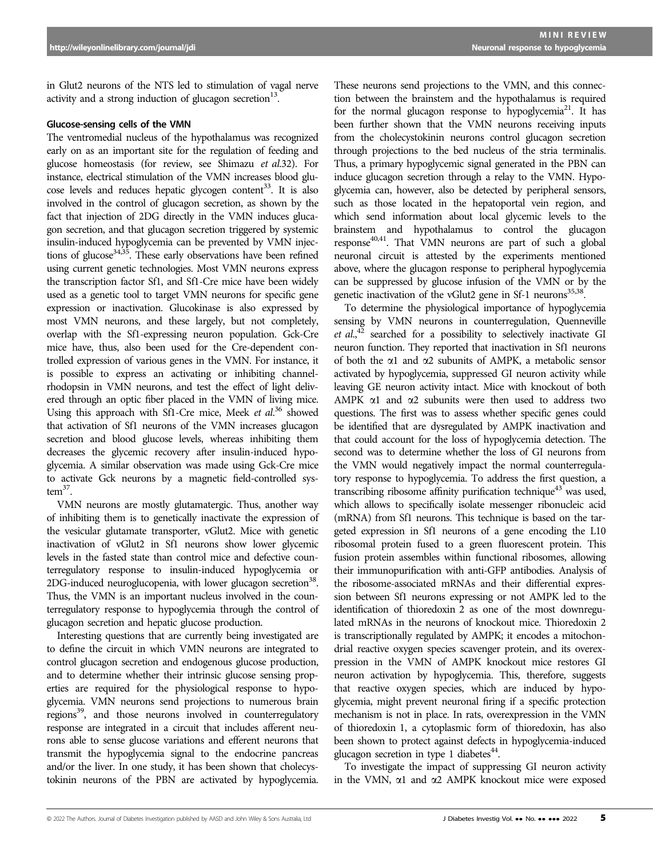in Glut2 neurons of the NTS led to stimulation of vagal nerve activity and a strong induction of glucagon secretion $13$ .

#### Glucose-sensing cells of the VMN

The ventromedial nucleus of the hypothalamus was recognized early on as an important site for the regulation of feeding and glucose homeostasis (for review, see Shimazu et al.32). For instance, electrical stimulation of the VMN increases blood glucose levels and reduces hepatic glycogen content<sup>33</sup>. It is also involved in the control of glucagon secretion, as shown by the fact that injection of 2DG directly in the VMN induces glucagon secretion, and that glucagon secretion triggered by systemic insulin-induced hypoglycemia can be prevented by VMN injections of glucose<sup>34,35</sup>. These early observations have been refined using current genetic technologies. Most VMN neurons express the transcription factor Sf1, and Sf1-Cre mice have been widely used as a genetic tool to target VMN neurons for specific gene expression or inactivation. Glucokinase is also expressed by most VMN neurons, and these largely, but not completely, overlap with the Sf1-expressing neuron population. Gck-Cre mice have, thus, also been used for the Cre-dependent controlled expression of various genes in the VMN. For instance, it is possible to express an activating or inhibiting channelrhodopsin in VMN neurons, and test the effect of light delivered through an optic fiber placed in the VMN of living mice. Using this approach with Sf1-Cre mice, Meek *et al.*<sup>36</sup> showed that activation of Sf1 neurons of the VMN increases glucagon that activation of Sf1 neurons of the VMN increases glucagon secretion and blood glucose levels, whereas inhibiting them decreases the glycemic recovery after insulin-induced hypoglycemia. A similar observation was made using Gck-Cre mice to activate Gck neurons by a magnetic field-controlled sys $tem<sup>37</sup>$ .

VMN neurons are mostly glutamatergic. Thus, another way of inhibiting them is to genetically inactivate the expression of the vesicular glutamate transporter, vGlut2. Mice with genetic inactivation of vGlut2 in Sf1 neurons show lower glycemic levels in the fasted state than control mice and defective counterregulatory response to insulin-induced hypoglycemia or 2DG-induced neuroglucopenia, with lower glucagon secretion<sup>38</sup>. Thus, the VMN is an important nucleus involved in the counterregulatory response to hypoglycemia through the control of glucagon secretion and hepatic glucose production.

Interesting questions that are currently being investigated are to define the circuit in which VMN neurons are integrated to control glucagon secretion and endogenous glucose production, and to determine whether their intrinsic glucose sensing properties are required for the physiological response to hypoglycemia. VMN neurons send projections to numerous brain regions<sup>39</sup>, and those neurons involved in counterregulatory response are integrated in a circuit that includes afferent neurons able to sense glucose variations and efferent neurons that transmit the hypoglycemia signal to the endocrine pancreas and/or the liver. In one study, it has been shown that cholecystokinin neurons of the PBN are activated by hypoglycemia.

These neurons send projections to the VMN, and this connection between the brainstem and the hypothalamus is required for the normal glucagon response to hypoglycemia<sup>21</sup>. It has been further shown that the VMN neurons receiving inputs from the cholecystokinin neurons control glucagon secretion through projections to the bed nucleus of the stria terminalis. Thus, a primary hypoglycemic signal generated in the PBN can induce glucagon secretion through a relay to the VMN. Hypoglycemia can, however, also be detected by peripheral sensors, such as those located in the hepatoportal vein region, and which send information about local glycemic levels to the brainstem and hypothalamus to control the glucagon  $response<sup>40,41</sup>$ . That VMN neurons are part of such a global neuronal circuit is attested by the experiments mentioned above, where the glucagon response to peripheral hypoglycemia can be suppressed by glucose infusion of the VMN or by the genetic inactivation of the vGlut2 gene in Sf-1 neurons $35,38$ .

To determine the physiological importance of hypoglycemia sensing by VMN neurons in counterregulation, Quenneville *et al.*<sup>42</sup> searched for a possibility to selectively inactivate GI peuron function. They reported that inactivation in Sf1 peurons neuron function. They reported that inactivation in Sf1 neurons of both the  $\alpha$ 1 and  $\alpha$ 2 subunits of AMPK, a metabolic sensor activated by hypoglycemia, suppressed GI neuron activity while leaving GE neuron activity intact. Mice with knockout of both AMPK  $\alpha$ 1 and  $\alpha$ 2 subunits were then used to address two questions. The first was to assess whether specific genes could be identified that are dysregulated by AMPK inactivation and that could account for the loss of hypoglycemia detection. The second was to determine whether the loss of GI neurons from the VMN would negatively impact the normal counterregulatory response to hypoglycemia. To address the first question, a transcribing ribosome affinity purification technique<sup>43</sup> was used, which allows to specifically isolate messenger ribonucleic acid (mRNA) from Sf1 neurons. This technique is based on the targeted expression in Sf1 neurons of a gene encoding the L10 ribosomal protein fused to a green fluorescent protein. This fusion protein assembles within functional ribosomes, allowing their immunopurification with anti-GFP antibodies. Analysis of the ribosome-associated mRNAs and their differential expression between Sf1 neurons expressing or not AMPK led to the identification of thioredoxin 2 as one of the most downregulated mRNAs in the neurons of knockout mice. Thioredoxin 2 is transcriptionally regulated by AMPK; it encodes a mitochondrial reactive oxygen species scavenger protein, and its overexpression in the VMN of AMPK knockout mice restores GI neuron activation by hypoglycemia. This, therefore, suggests that reactive oxygen species, which are induced by hypoglycemia, might prevent neuronal firing if a specific protection mechanism is not in place. In rats, overexpression in the VMN of thioredoxin 1, a cytoplasmic form of thioredoxin, has also been shown to protect against defects in hypoglycemia-induced glucagon secretion in type 1 diabetes $44$ .

To investigate the impact of suppressing GI neuron activity in the VMN,  $\alpha$ 1 and  $\alpha$ 2 AMPK knockout mice were exposed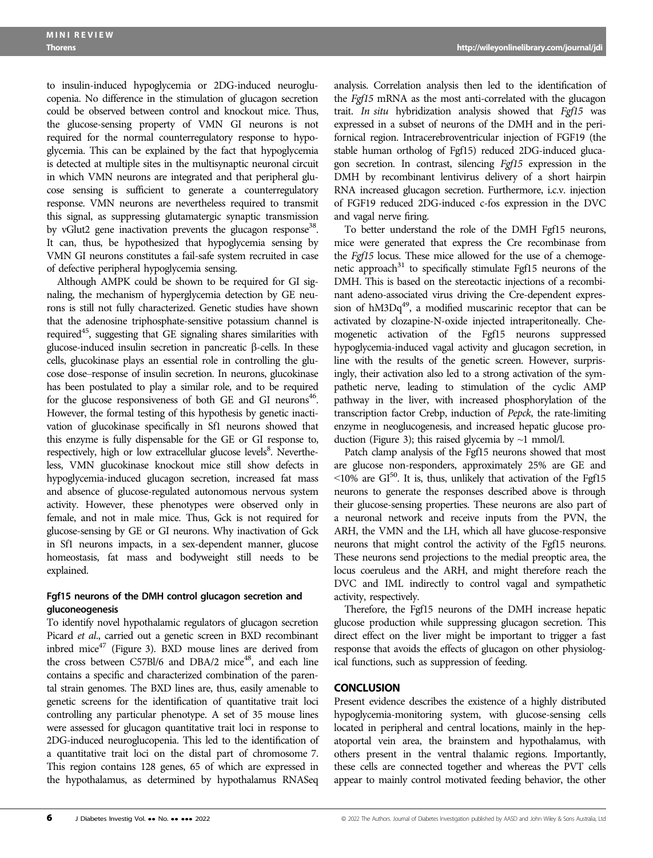to insulin-induced hypoglycemia or 2DG-induced neuroglucopenia. No difference in the stimulation of glucagon secretion could be observed between control and knockout mice. Thus, the glucose-sensing property of VMN GI neurons is not required for the normal counterregulatory response to hypoglycemia. This can be explained by the fact that hypoglycemia is detected at multiple sites in the multisynaptic neuronal circuit in which VMN neurons are integrated and that peripheral glucose sensing is sufficient to generate a counterregulatory response. VMN neurons are nevertheless required to transmit this signal, as suppressing glutamatergic synaptic transmission by vGlut2 gene inactivation prevents the glucagon response<sup>38</sup>. It can, thus, be hypothesized that hypoglycemia sensing by VMN GI neurons constitutes a fail-safe system recruited in case of defective peripheral hypoglycemia sensing.

Although AMPK could be shown to be required for GI signaling, the mechanism of hyperglycemia detection by GE neurons is still not fully characterized. Genetic studies have shown that the adenosine triphosphate-sensitive potassium channel is required<sup>45</sup>, suggesting that GE signaling shares similarities with glucose-induced insulin secretion in pancreatic  $\beta$ -cells. In these cells, glucokinase plays an essential role in controlling the glucose dose–response of insulin secretion. In neurons, glucokinase has been postulated to play a similar role, and to be required for the glucose responsiveness of both GE and GI neurons<sup>46</sup>. However, the formal testing of this hypothesis by genetic inactivation of glucokinase specifically in Sf1 neurons showed that this enzyme is fully dispensable for the GE or GI response to, respectively, high or low extracellular glucose levels<sup>8</sup>. Nevertheless, VMN glucokinase knockout mice still show defects in hypoglycemia-induced glucagon secretion, increased fat mass and absence of glucose-regulated autonomous nervous system activity. However, these phenotypes were observed only in female, and not in male mice. Thus, Gck is not required for glucose-sensing by GE or GI neurons. Why inactivation of Gck in Sf1 neurons impacts, in a sex-dependent manner, glucose homeostasis, fat mass and bodyweight still needs to be explained.

# Fgf15 neurons of the DMH control glucagon secretion and gluconeogenesis

To identify novel hypothalamic regulators of glucagon secretion Picard et al., carried out a genetic screen in BXD recombinant inbred mice $47$  (Figure 3). BXD mouse lines are derived from the cross between C57Bl/6 and DBA/2 mice<sup>48</sup>, and each line contains a specific and characterized combination of the parental strain genomes. The BXD lines are, thus, easily amenable to genetic screens for the identification of quantitative trait loci controlling any particular phenotype. A set of 35 mouse lines were assessed for glucagon quantitative trait loci in response to 2DG-induced neuroglucopenia. This led to the identification of a quantitative trait loci on the distal part of chromosome 7. This region contains 128 genes, 65 of which are expressed in the hypothalamus, as determined by hypothalamus RNASeq analysis. Correlation analysis then led to the identification of the Fgf15 mRNA as the most anti-correlated with the glucagon trait. In situ hybridization analysis showed that Fgf15 was expressed in a subset of neurons of the DMH and in the perifornical region. Intracerebroventricular injection of FGF19 (the stable human ortholog of Fgf15) reduced 2DG-induced glucagon secretion. In contrast, silencing Fgf15 expression in the DMH by recombinant lentivirus delivery of a short hairpin RNA increased glucagon secretion. Furthermore, i.c.v. injection of FGF19 reduced 2DG-induced c-fos expression in the DVC and vagal nerve firing.

To better understand the role of the DMH Fgf15 neurons, mice were generated that express the Cre recombinase from the Fgf15 locus. These mice allowed for the use of a chemogenetic approach $31$  to specifically stimulate Fgf15 neurons of the DMH. This is based on the stereotactic injections of a recombinant adeno-associated virus driving the Cre-dependent expression of  $hM3Dq^{49}$ , a modified muscarinic receptor that can be activated by clozapine-N-oxide injected intraperitoneally. Chemogenetic activation of the Fgf15 neurons suppressed hypoglycemia-induced vagal activity and glucagon secretion, in line with the results of the genetic screen. However, surprisingly, their activation also led to a strong activation of the sympathetic nerve, leading to stimulation of the cyclic AMP pathway in the liver, with increased phosphorylation of the transcription factor Crebp, induction of Pepck, the rate-limiting enzyme in neoglucogenesis, and increased hepatic glucose production (Figure 3); this raised glycemia by  $\sim$ 1 mmol/l.

Patch clamp analysis of the Fgf15 neurons showed that most are glucose non-responders, approximately 25% are GE and  $\leq 10\%$  are GI<sup>50</sup>. It is, thus, unlikely that activation of the Fgf15 neurons to generate the responses described above is through their glucose-sensing properties. These neurons are also part of a neuronal network and receive inputs from the PVN, the ARH, the VMN and the LH, which all have glucose-responsive neurons that might control the activity of the Fgf15 neurons. These neurons send projections to the medial preoptic area, the locus coeruleus and the ARH, and might therefore reach the DVC and IML indirectly to control vagal and sympathetic activity, respectively.

Therefore, the Fgf15 neurons of the DMH increase hepatic glucose production while suppressing glucagon secretion. This direct effect on the liver might be important to trigger a fast response that avoids the effects of glucagon on other physiological functions, such as suppression of feeding.

## **CONCLUSION**

Present evidence describes the existence of a highly distributed hypoglycemia-monitoring system, with glucose-sensing cells located in peripheral and central locations, mainly in the hepatoportal vein area, the brainstem and hypothalamus, with others present in the ventral thalamic regions. Importantly, these cells are connected together and whereas the PVT cells appear to mainly control motivated feeding behavior, the other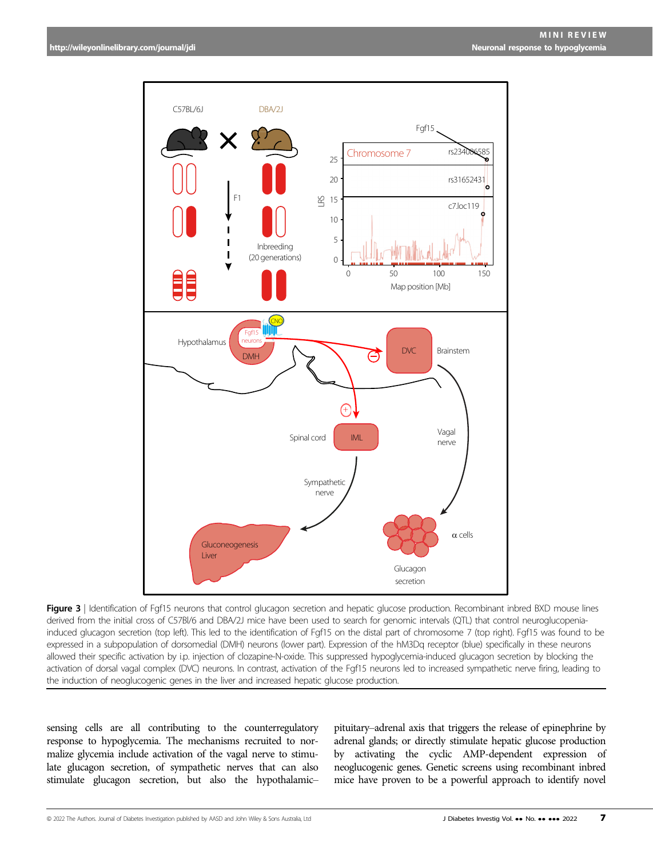

Figure 3 | Identification of Fgf15 neurons that control glucagon secretion and hepatic glucose production. Recombinant inbred BXD mouse lines derived from the initial cross of C57Bl/6 and DBA/2J mice have been used to search for genomic intervals (QTL) that control neuroglucopeniainduced glucagon secretion (top left). This led to the identification of Fgf15 on the distal part of chromosome 7 (top right). Fgf15 was found to be expressed in a subpopulation of dorsomedial (DMH) neurons (lower part). Expression of the hM3Dq receptor (blue) specifically in these neurons allowed their specific activation by i.p. injection of clozapine-N-oxide. This suppressed hypoglycemia-induced glucagon secretion by blocking the activation of dorsal vagal complex (DVC) neurons. In contrast, activation of the Fgf15 neurons led to increased sympathetic nerve firing, leading to the induction of neoglucogenic genes in the liver and increased hepatic glucose production.

sensing cells are all contributing to the counterregulatory response to hypoglycemia. The mechanisms recruited to normalize glycemia include activation of the vagal nerve to stimulate glucagon secretion, of sympathetic nerves that can also stimulate glucagon secretion, but also the hypothalamic–

pituitary–adrenal axis that triggers the release of epinephrine by adrenal glands; or directly stimulate hepatic glucose production by activating the cyclic AMP-dependent expression of neoglucogenic genes. Genetic screens using recombinant inbred mice have proven to be a powerful approach to identify novel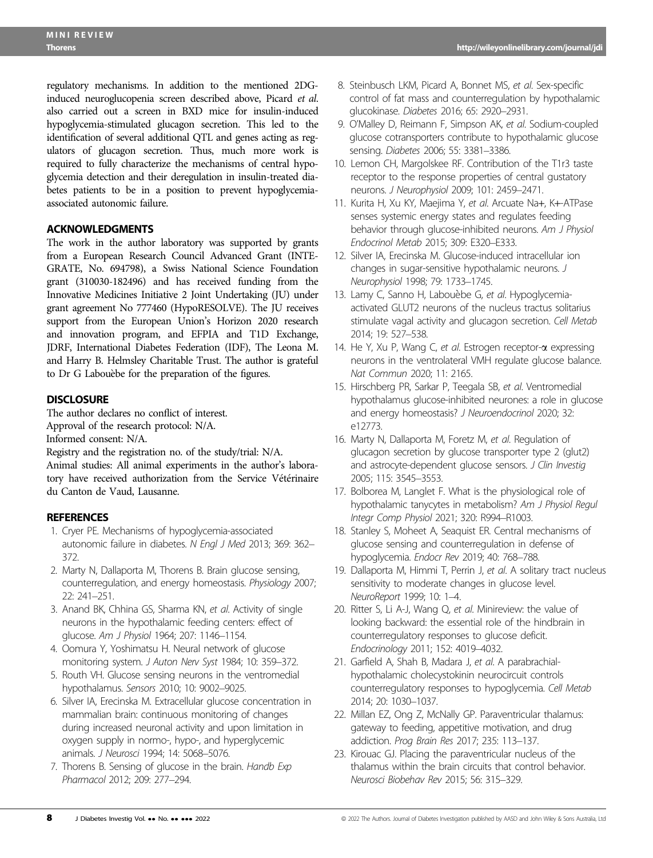regulatory mechanisms. In addition to the mentioned 2DGinduced neuroglucopenia screen described above, Picard et al. also carried out a screen in BXD mice for insulin-induced hypoglycemia-stimulated glucagon secretion. This led to the identification of several additional QTL and genes acting as regulators of glucagon secretion. Thus, much more work is required to fully characterize the mechanisms of central hypoglycemia detection and their deregulation in insulin-treated diabetes patients to be in a position to prevent hypoglycemiaassociated autonomic failure.

# ACKNOWLEDGMENTS

The work in the author laboratory was supported by grants from a European Research Council Advanced Grant (INTE-GRATE, No. 694798), a Swiss National Science Foundation grant (310030-182496) and has received funding from the Innovative Medicines Initiative 2 Joint Undertaking (JU) under grant agreement No 777460 (HypoRESOLVE). The JU receives support from the European Union's Horizon 2020 research and innovation program, and EFPIA and T1D Exchange, JDRF, International Diabetes Federation (IDF), The Leona M. and Harry B. Helmsley Charitable Trust. The author is grateful to Dr G Labouebe for the preparation of the figures.

# **DISCLOSURE**

The author declares no conflict of interest. Approval of the research protocol: N/A. Informed consent: N/A.

Registry and the registration no. of the study/trial: N/A. Animal studies: All animal experiments in the author's laboratory have received authorization from the Service Vétérinaire du Canton de Vaud, Lausanne.

# **REFERENCES**

- 1. Cryer PE. Mechanisms of hypoglycemia-associated autonomic failure in diabetes. N Engl J Med 2013; 369: 362– 372.
- 2. Marty N, Dallaporta M, Thorens B. Brain glucose sensing, counterregulation, and energy homeostasis. Physiology 2007; 22: 241–251.
- 3. Anand BK, Chhina GS, Sharma KN, et al. Activity of single neurons in the hypothalamic feeding centers: effect of glucose. Am J Physiol 1964; 207: 1146–1154.
- 4. Oomura Y, Yoshimatsu H. Neural network of glucose monitoring system. J Auton Nerv Syst 1984; 10: 359–372.
- 5. Routh VH. Glucose sensing neurons in the ventromedial hypothalamus. Sensors 2010; 10: 9002–9025.
- 6. Silver IA, Erecinska M. Extracellular glucose concentration in mammalian brain: continuous monitoring of changes during increased neuronal activity and upon limitation in oxygen supply in normo-, hypo-, and hyperglycemic animals. J Neurosci 1994; 14: 5068–5076.
- 7. Thorens B. Sensing of glucose in the brain. Handb Exp Pharmacol 2012; 209: 277–294.
- 8. Steinbusch LKM, Picard A, Bonnet MS, et al. Sex-specific control of fat mass and counterregulation by hypothalamic glucokinase. Diabetes 2016; 65: 2920–2931.
- 9. O'Malley D, Reimann F, Simpson AK, et al. Sodium-coupled glucose cotransporters contribute to hypothalamic glucose sensing. Diabetes 2006; 55: 3381–3386.
- 10. Lemon CH, Margolskee RF. Contribution of the T1r3 taste receptor to the response properties of central gustatory neurons. J Neurophysiol 2009; 101: 2459–2471.
- 11. Kurita H, Xu KY, Maejima Y, et al. Arcuate Na+, K+-ATPase senses systemic energy states and regulates feeding behavior through glucose-inhibited neurons. Am J Physiol Endocrinol Metab 2015; 309: E320–E333.
- 12. Silver IA, Erecinska M. Glucose-induced intracellular ion changes in sugar-sensitive hypothalamic neurons. J Neurophysiol 1998; 79: 1733–1745.
- 13. Lamy C, Sanno H, Labouèbe G, et al. Hypoglycemiaactivated GLUT2 neurons of the nucleus tractus solitarius stimulate vagal activity and glucagon secretion. Cell Metab 2014; 19: 527–538.
- 14. He Y, Xu P, Wang C, et al. Estrogen receptor-a expressing neurons in the ventrolateral VMH regulate glucose balance. Nat Commun 2020; 11: 2165.
- 15. Hirschberg PR, Sarkar P, Teegala SB, et al. Ventromedial hypothalamus glucose-inhibited neurones: a role in glucose and energy homeostasis? J Neuroendocrinol 2020; 32: e12773.
- 16. Marty N, Dallaporta M, Foretz M, et al. Regulation of glucagon secretion by glucose transporter type 2 (glut2) and astrocyte-dependent glucose sensors. J Clin Investig 2005; 115: 3545–3553.
- 17. Bolborea M, Langlet F. What is the physiological role of hypothalamic tanycytes in metabolism? Am J Physiol Regul Integr Comp Physiol 2021; 320: R994–R1003.
- 18. Stanley S, Moheet A, Seaquist ER. Central mechanisms of glucose sensing and counterregulation in defense of hypoglycemia. Endocr Rev 2019; 40: 768–788.
- 19. Dallaporta M, Himmi T, Perrin J, et al. A solitary tract nucleus sensitivity to moderate changes in glucose level. NeuroReport 1999; 10: 1–4.
- 20. Ritter S, Li A-J, Wang Q, et al. Minireview: the value of looking backward: the essential role of the hindbrain in counterregulatory responses to glucose deficit. Endocrinology 2011; 152: 4019–4032.
- 21. Garfield A, Shah B, Madara J, et al. A parabrachialhypothalamic cholecystokinin neurocircuit controls counterregulatory responses to hypoglycemia. Cell Metab 2014; 20: 1030–1037.
- 22. Millan EZ, Ong Z, McNally GP. Paraventricular thalamus: gateway to feeding, appetitive motivation, and drug addiction. Prog Brain Res 2017; 235: 113–137.
- 23. Kirouac GJ. Placing the paraventricular nucleus of the thalamus within the brain circuits that control behavior. Neurosci Biobehav Rev 2015; 56: 315–329.